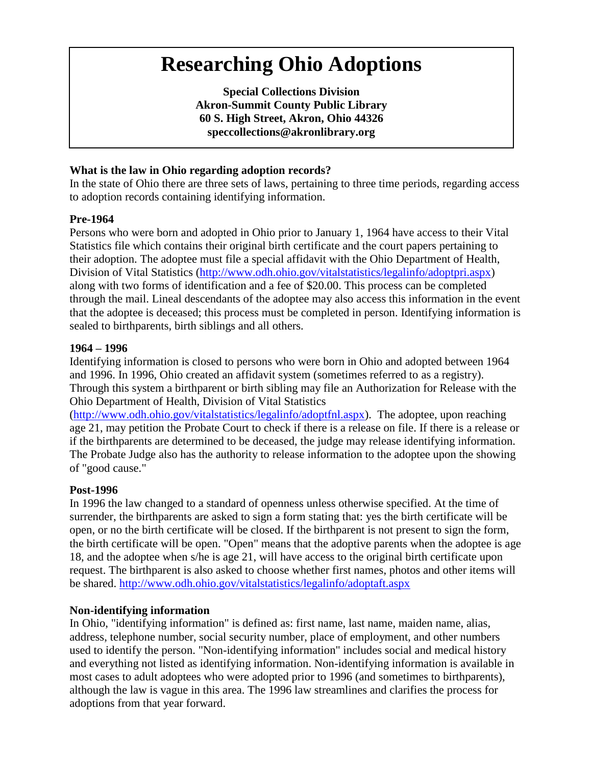# **Researching Ohio Adoptions**

**Special Collections Division Akron-Summit County Public Library 60 S. High Street, Akron, Ohio 44326 speccollections@akronlibrary.org**

## **What is the law in Ohio regarding adoption records?**

In the state of Ohio there are three sets of laws, pertaining to three time periods, regarding access to adoption records containing identifying information.

## **Pre-1964**

Persons who were born and adopted in Ohio prior to January 1, 1964 have access to their Vital Statistics file which contains their original birth certificate and the court papers pertaining to their adoption. The adoptee must file a special affidavit with the Ohio Department of Health, Division of Vital Statistics [\(http://www.odh.ohio.gov/vitalstatistics/legalinfo/adoptpri.aspx\)](http://www.odh.ohio.gov/vitalstatistics/legalinfo/adoptpri.aspx) along with two forms of identification and a fee of \$20.00. This process can be completed through the mail. Lineal descendants of the adoptee may also access this information in the event that the adoptee is deceased; this process must be completed in person. Identifying information is sealed to birthparents, birth siblings and all others.

#### **1964 – 1996**

Identifying information is closed to persons who were born in Ohio and adopted between 1964 and 1996. In 1996, Ohio created an affidavit system (sometimes referred to as a registry). Through this system a birthparent or birth sibling may file an Authorization for Release with the Ohio Department of Health, Division of Vital Statistics

[\(http://www.odh.ohio.gov/vitalstatistics/legalinfo/adoptfnl.aspx\)](http://www.odh.ohio.gov/vitalstatistics/legalinfo/adoptfnl.aspx). The adoptee, upon reaching age 21, may petition the Probate Court to check if there is a release on file. If there is a release or if the birthparents are determined to be deceased, the judge may release identifying information. The Probate Judge also has the authority to release information to the adoptee upon the showing of "good cause."

#### **Post-1996**

In 1996 the law changed to a standard of openness unless otherwise specified. At the time of surrender, the birthparents are asked to sign a form stating that: yes the birth certificate will be open, or no the birth certificate will be closed. If the birthparent is not present to sign the form, the birth certificate will be open. "Open" means that the adoptive parents when the adoptee is age 18, and the adoptee when s/he is age 21, will have access to the original birth certificate upon request. The birthparent is also asked to choose whether first names, photos and other items will be shared. <http://www.odh.ohio.gov/vitalstatistics/legalinfo/adoptaft.aspx>

## **Non-identifying information**

In Ohio, "identifying information" is defined as: first name, last name, maiden name, alias, address, telephone number, social security number, place of employment, and other numbers used to identify the person. "Non-identifying information" includes social and medical history and everything not listed as identifying information. Non-identifying information is available in most cases to adult adoptees who were adopted prior to 1996 (and sometimes to birthparents), although the law is vague in this area. The 1996 law streamlines and clarifies the process for adoptions from that year forward.